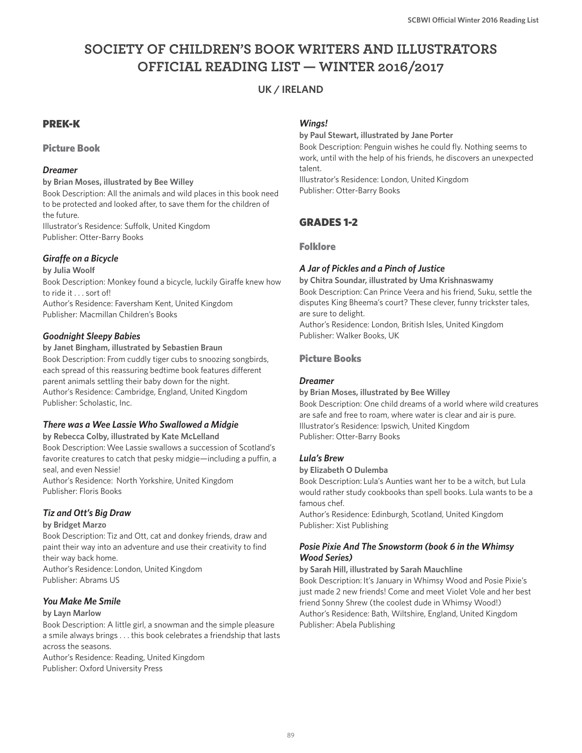# **SOCIETY OF CHILDREN'S BOOK WRITERS AND ILLUSTRATORS OFFICIAL READING LIST — WINTER 2016/2017**

## **UK / IRELAND**

## PREK-K

Picture Book

## *Dreamer*

**by Brian Moses, illustrated by Bee Willey** Book Description: All the animals and wild places in this book need to be protected and looked after, to save them for the children of the future. Illustrator's Residence: Suffolk, United Kingdom Publisher: Otter-Barry Books

## *Giraffe on a Bicycle*

**by Julia Woolf** Book Description: Monkey found a bicycle, luckily Giraffe knew how to ride it . . . sort of! Author's Residence: Faversham Kent, United Kingdom Publisher: Macmillan Children's Books

## *Goodnight Sleepy Babies*

**by Janet Bingham, illustrated by Sebastien Braun** Book Description: From cuddly tiger cubs to snoozing songbirds, each spread of this reassuring bedtime book features different parent animals settling their baby down for the night. Author's Residence: Cambridge, England, United Kingdom Publisher: Scholastic, Inc.

## *There was a Wee Lassie Who Swallowed a Midgie*

**by Rebecca Colby, illustrated by Kate McLelland**

Book Description: Wee Lassie swallows a succession of Scotland's favorite creatures to catch that pesky midgie—including a puffin, a seal, and even Nessie!

Author's Residence: North Yorkshire, United Kingdom Publisher: Floris Books

## *Tiz and Ott's Big Draw*

**by Bridget Marzo**

Book Description: Tiz and Ott, cat and donkey friends, draw and paint their way into an adventure and use their creativity to find their way back home. Author's Residence: London, United Kingdom Publisher: Abrams US

## *You Make Me Smile*

#### **by Layn Marlow**

Book Description: A little girl, a snowman and the simple pleasure a smile always brings . . . this book celebrates a friendship that lasts across the seasons.

Author's Residence: Reading, United Kingdom Publisher: Oxford University Press

### *Wings!*

**by Paul Stewart, illustrated by Jane Porter** Book Description: Penguin wishes he could fly. Nothing seems to work, until with the help of his friends, he discovers an unexpected talent. Illustrator's Residence: London, United Kingdom

Publisher: Otter-Barry Books

## GRADES 1-2

### Folklore

## *A Jar of Pickles and a Pinch of Justice*

**by Chitra Soundar, illustrated by Uma Krishnaswamy** Book Description: Can Prince Veera and his friend, Suku, settle the disputes King Bheema's court? These clever, funny trickster tales, are sure to delight. Author's Residence: London, British Isles, United Kingdom Publisher: Walker Books, UK

## Picture Books

## *Dreamer*

**by Brian Moses, illustrated by Bee Willey**

Book Description: One child dreams of a world where wild creatures are safe and free to roam, where water is clear and air is pure. Illustrator's Residence: Ipswich, United Kingdom Publisher: Otter-Barry Books

## *Lula's Brew*

**by Elizabeth O Dulemba**

Book Description: Lula's Aunties want her to be a witch, but Lula would rather study cookbooks than spell books. Lula wants to be a famous chef.

Author's Residence: Edinburgh, Scotland, United Kingdom Publisher: Xist Publishing

## *Posie Pixie And The Snowstorm (book 6 in the Whimsy Wood Series)*

**by Sarah Hill, illustrated by Sarah Mauchline**

Book Description: It's January in Whimsy Wood and Posie Pixie's just made 2 new friends! Come and meet Violet Vole and her best friend Sonny Shrew (the coolest dude in Whimsy Wood!) Author's Residence: Bath, Wiltshire, England, United Kingdom Publisher: Abela Publishing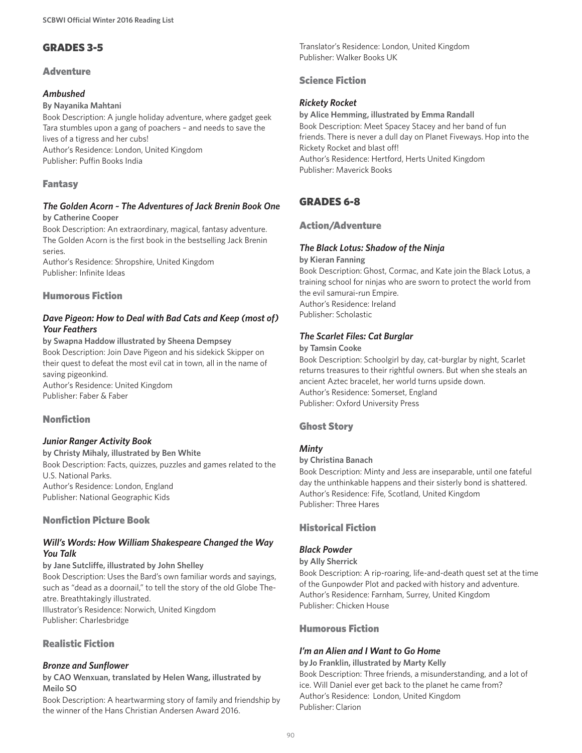## GRADES 3-5

## **Adventure**

## *Ambushed*

#### **By Nayanika Mahtani**

Book Description: A jungle holiday adventure, where gadget geek Tara stumbles upon a gang of poachers – and needs to save the lives of a tigress and her cubs! Author's Residence: London, United Kingdom

Publisher: Puffin Books India

### Fantasy

#### *The Golden Acorn ~ The Adventures of Jack Brenin Book One* **by Catherine Cooper**

Book Description: An extraordinary, magical, fantasy adventure. The Golden Acorn is the first book in the bestselling Jack Brenin series.

Author's Residence: Shropshire, United Kingdom Publisher: Infinite Ideas

### Humorous Fiction

### *Dave Pigeon: How to Deal with Bad Cats and Keep (most of) Your Feathers*

**by Swapna Haddow illustrated by Sheena Dempsey** Book Description: Join Dave Pigeon and his sidekick Skipper on their quest to defeat the most evil cat in town, all in the name of saving pigeonkind. Author's Residence: United Kingdom Publisher: Faber & Faber

## Nonfiction

## *Junior Ranger Activity Book*

**by Christy Mihaly, illustrated by Ben White** Book Description: Facts, quizzes, puzzles and games related to the U.S. National Parks. Author's Residence: London, England Publisher: National Geographic Kids

## Nonfiction Picture Book

### *Will's Words: How William Shakespeare Changed the Way You Talk*

**by Jane Sutcliffe, illustrated by John Shelley** Book Description: Uses the Bard's own familiar words and sayings, such as "dead as a doornail." to tell the story of the old Globe Theatre. Breathtakingly illustrated. Illustrator's Residence: Norwich, United Kingdom Publisher: Charlesbridge

## Realistic Fiction

## *Bronze and Sunflower*

**by CAO Wenxuan, translated by Helen Wang, illustrated by Meilo SO**

Book Description: A heartwarming story of family and friendship by the winner of the Hans Christian Andersen Award 2016.

Translator's Residence: London, United Kingdom Publisher: Walker Books UK

## Science Fiction

### *Rickety Rocket*

**by Alice Hemming, illustrated by Emma Randall** Book Description: Meet Spacey Stacey and her band of fun friends. There is never a dull day on Planet Fiveways. Hop into the Rickety Rocket and blast off! Author's Residence: Hertford, Herts United Kingdom Publisher: Maverick Books

## GRADES 6-8

## Action/Adventure

### *The Black Lotus: Shadow of the Ninja*

#### **by Kieran Fanning**

Book Description: Ghost, Cormac, and Kate join the Black Lotus, a training school for ninjas who are sworn to protect the world from the evil samurai-run Empire. Author's Residence: Ireland Publisher: Scholastic

## *The Scarlet Files: Cat Burglar*

#### **by Tamsin Cooke**

Book Description: Schoolgirl by day, cat-burglar by night, Scarlet returns treasures to their rightful owners. But when she steals an ancient Aztec bracelet, her world turns upside down. Author's Residence: Somerset, England Publisher: Oxford University Press

## Ghost Story

## *Minty*

#### **by Christina Banach**

Book Description: Minty and Jess are inseparable, until one fateful day the unthinkable happens and their sisterly bond is shattered. Author's Residence: Fife, Scotland, United Kingdom Publisher: Three Hares

## Historical Fiction

## *Black Powder*

#### **by Ally Sherrick**

Book Description: A rip-roaring, life-and-death quest set at the time of the Gunpowder Plot and packed with history and adventure. Author's Residence: Farnham, Surrey, United Kingdom Publisher: Chicken House

### Humorous Fiction

## *I'm an Alien and I Want to Go Home*

**by Jo Franklin, illustrated by Marty Kelly** Book Description: Three friends, a misunderstanding, and a lot of ice. Will Daniel ever get back to the planet he came from? Author's Residence: London, United Kingdom Publisher: Clarion